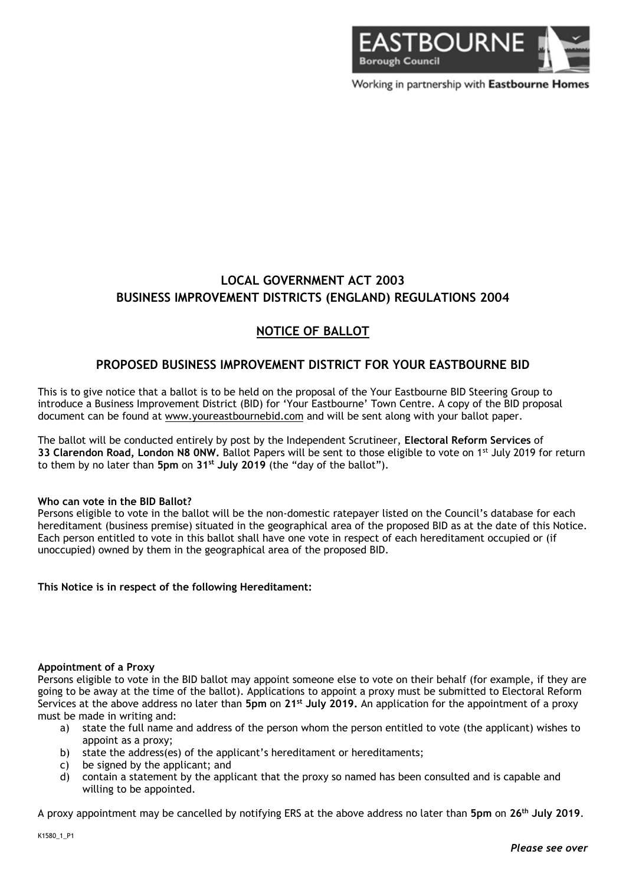

Working in partnership with Eastbourne Homes

# **LOCAL GOVERNMENT ACT 2003 BUSINESS IMPROVEMENT DISTRICTS (ENGLAND) REGULATIONS 2004**

## **NOTICE OF BALLOT**

## **PROPOSED BUSINESS IMPROVEMENT DISTRICT FOR YOUR EASTBOURNE BID**

This is to give notice that a ballot is to be held on the proposal of the Your Eastbourne BID Steering Group to introduce a Business Improvement District (BID) for 'Your Eastbourne' Town Centre. A copy of the BID proposal document can be found at www.youreastbournebid.com and will be sent along with your ballot paper.

The ballot will be conducted entirely by post by the Independent Scrutineer, **Electoral Reform Services** of **33 Clarendon Road, London N8 0NW.** Ballot Papers will be sent to those eligible to vote on 1st July 2019 for return to them by no later than **5pm** on **31st July 2019** (the "day of the ballot").

#### **Who can vote in the BID Ballot?**

Persons eligible to vote in the ballot will be the non-domestic ratepayer listed on the Council's database for each hereditament (business premise) situated in the geographical area of the proposed BID as at the date of this Notice. Each person entitled to vote in this ballot shall have one vote in respect of each hereditament occupied or (if unoccupied) owned by them in the geographical area of the proposed BID.

## **This Notice is in respect of the following Hereditament:**

#### **Appointment of a Proxy**

Persons eligible to vote in the BID ballot may appoint someone else to vote on their behalf (for example, if they are going to be away at the time of the ballot). Applications to appoint a proxy must be submitted to Electoral Reform Services at the above address no later than **5pm** on **21st July 2019.** An application for the appointment of a proxy must be made in writing and:

- a) state the full name and address of the person whom the person entitled to vote (the applicant) wishes to appoint as a proxy;
- b) state the address(es) of the applicant's hereditament or hereditaments;
- c) be signed by the applicant; and
- d) contain a statement by the applicant that the proxy so named has been consulted and is capable and willing to be appointed.

A proxy appointment may be cancelled by notifying ERS at the above address no later than **5pm** on **26th July 2019**.